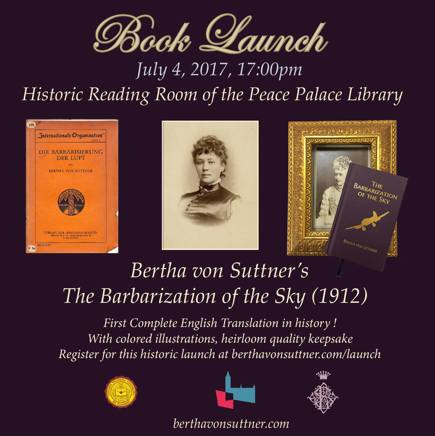

## *of Aletta H. Jacobs Historic Reading Room of the Peace Palace Library*







## *Bertha von Suttner's* To help educate the public about this important moment and its connection to the 19th century peace movement, this library - with assistance from the Ber $t_{\rm{tho}}$  Rayhavization of the  $\mathcal{S}_{\rm{eu}}$  (1917) *The Barbarization of the Sky (1912)*

With colored illustrations, heirloom *auality* keepse **The Gerritsen Collection !** Password: welcome *Register for this historic launch at berthavonsuttner.com/launch* $With\ colored\ illustrations, heirloom\ quality\ keeps\,$ *First Complete English Translation in history !*







*berthavonsuttner.com*